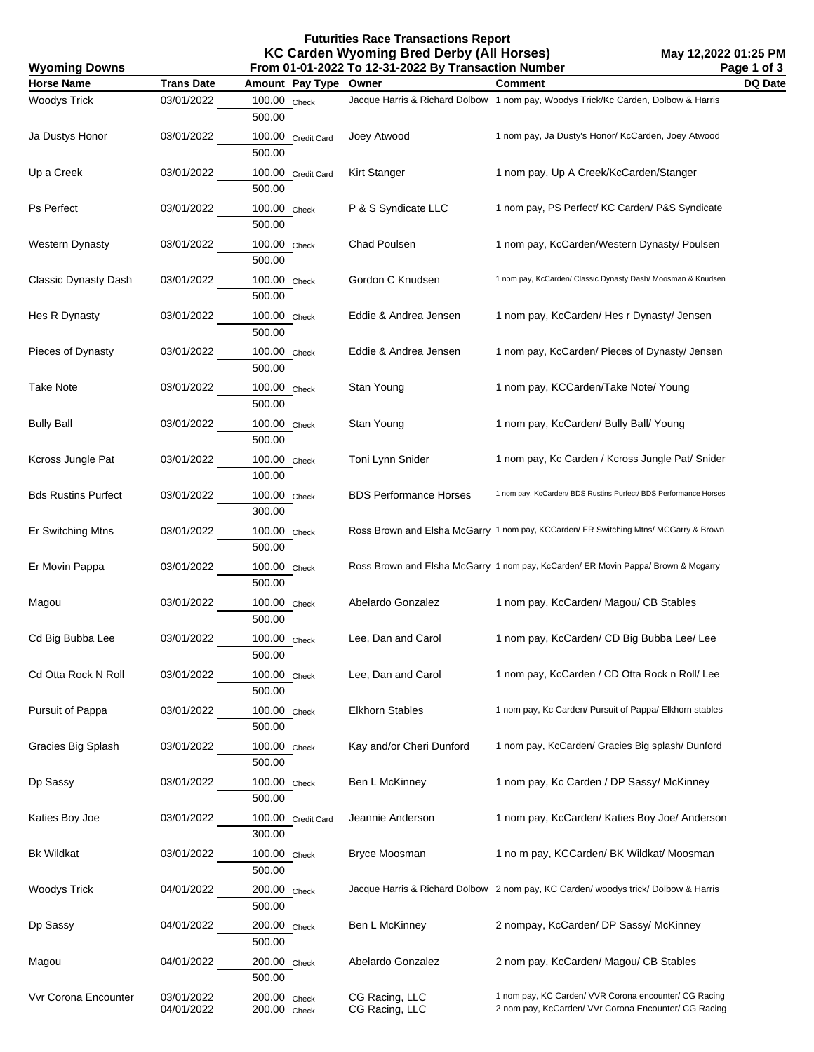**Futurities Race Transactions Report KC Carden Wyoming Bred Derby (All Horses) From 01-01-2022 To 12-31-2022 By Transaction Number**

**Wyoming Downs**

| <b>Horse Name</b>          | <b>Trans Date</b> | Amount Pay Type              | Owner                         | <b>Comment</b>                                                                       | DQ Date |
|----------------------------|-------------------|------------------------------|-------------------------------|--------------------------------------------------------------------------------------|---------|
| <b>Woodys Trick</b>        | 03/01/2022        | 100.00 Check<br>500.00       |                               | Jacque Harris & Richard Dolbow 1 nom pay, Woodys Trick/Kc Carden, Dolbow & Harris    |         |
| Ja Dustys Honor            | 03/01/2022        | 100.00 Credit Card<br>500.00 | Joey Atwood                   | 1 nom pay, Ja Dusty's Honor/ KcCarden, Joey Atwood                                   |         |
| Up a Creek                 | 03/01/2022        | 100.00 Credit Card<br>500.00 | Kirt Stanger                  | 1 nom pay, Up A Creek/KcCarden/Stanger                                               |         |
| Ps Perfect                 | 03/01/2022        | 100.00 Check<br>500.00       | P & S Syndicate LLC           | 1 nom pay, PS Perfect/ KC Carden/ P&S Syndicate                                      |         |
| <b>Western Dynasty</b>     | 03/01/2022        | 100.00 Check<br>500.00       | Chad Poulsen                  | 1 nom pay, KcCarden/Western Dynasty/ Poulsen                                         |         |
| Classic Dynasty Dash       | 03/01/2022        | 100.00 Check<br>500.00       | Gordon C Knudsen              | 1 nom pay, KcCarden/ Classic Dynasty Dash/ Moosman & Knudsen                         |         |
| Hes R Dynasty              | 03/01/2022        | 100.00 Check<br>500.00       | Eddie & Andrea Jensen         | 1 nom pay, KcCarden/ Hes r Dynasty/ Jensen                                           |         |
| Pieces of Dynasty          | 03/01/2022        | 100.00 Check<br>500.00       | Eddie & Andrea Jensen         | 1 nom pay, KcCarden/ Pieces of Dynasty/ Jensen                                       |         |
| <b>Take Note</b>           | 03/01/2022        | 100.00 Check<br>500.00       | Stan Young                    | 1 nom pay, KCCarden/Take Note/ Young                                                 |         |
| <b>Bully Ball</b>          | 03/01/2022        | 100.00 Check<br>500.00       | Stan Young                    | 1 nom pay, KcCarden/ Bully Ball/ Young                                               |         |
| Kcross Jungle Pat          | 03/01/2022        | 100.00 Check<br>100.00       | Toni Lynn Snider              | 1 nom pay, Kc Carden / Kcross Jungle Pat/ Snider                                     |         |
| <b>Bds Rustins Purfect</b> | 03/01/2022        | 100.00 Check<br>300.00       | <b>BDS Performance Horses</b> | 1 nom pay, KcCarden/ BDS Rustins Purfect/ BDS Performance Horses                     |         |
| Er Switching Mtns          | 03/01/2022        | 100.00 Check<br>500.00       |                               | Ross Brown and Elsha McGarry 1 nom pay, KCCarden/ ER Switching Mtns/ MCGarry & Brown |         |
| Er Movin Pappa             | 03/01/2022        | 100.00 Check<br>500.00       |                               | Ross Brown and Elsha McGarry 1 nom pay, KcCarden/ ER Movin Pappa/ Brown & Mcgarry    |         |
| Magou                      | 03/01/2022        | 100.00 Check<br>500.00       | Abelardo Gonzalez             | 1 nom pay, KcCarden/ Magou/ CB Stables                                               |         |
| Cd Big Bubba Lee           | 03/01/2022        | 100.00 Check<br>500.00       | Lee, Dan and Carol            | 1 nom pay, KcCarden/ CD Big Bubba Lee/ Lee                                           |         |
| Cd Otta Rock N Roll        | 03/01/2022        | 100.00 Check<br>500.00       | Lee, Dan and Carol            | 1 nom pay, KcCarden / CD Otta Rock n Roll/ Lee                                       |         |
| Pursuit of Pappa           | 03/01/2022        | 100.00 Check<br>500.00       | <b>Elkhorn Stables</b>        | 1 nom pay, Kc Carden/ Pursuit of Pappa/ Elkhorn stables                              |         |
| Gracies Big Splash         | 03/01/2022        | 100.00 Check<br>500.00       | Kay and/or Cheri Dunford      | 1 nom pay, KcCarden/ Gracies Big splash/ Dunford                                     |         |
| Dp Sassy                   | 03/01/2022        | 100.00 Check<br>500.00       | Ben L McKinney                | 1 nom pay, Kc Carden / DP Sassy/ McKinney                                            |         |
| Katies Boy Joe             | 03/01/2022        | 100.00 Credit Card<br>300.00 | Jeannie Anderson              | 1 nom pay, KcCarden/ Katies Boy Joe/ Anderson                                        |         |
| <b>Bk Wildkat</b>          | 03/01/2022        | 100.00 Check<br>500.00       | <b>Bryce Moosman</b>          | 1 no m pay, KCCarden/ BK Wildkat/ Moosman                                            |         |
| Woodys Trick               | 04/01/2022        | 200.00 Check<br>500.00       |                               | Jacque Harris & Richard Dolbow 2 nom pay, KC Carden/ woodys trick/ Dolbow & Harris   |         |
| Dp Sassy                   | 04/01/2022        | 200.00 Check<br>500.00       | Ben L McKinney                | 2 nompay, KcCarden/ DP Sassy/ McKinney                                               |         |
| Magou                      | 04/01/2022        | 200.00 Check<br>500.00       | Abelardo Gonzalez             | 2 nom pay, KcCarden/ Magou/ CB Stables                                               |         |
| Vvr Corona Encounter       | 03/01/2022        | 200.00 Check                 | CG Racing, LLC                | 1 nom pay, KC Carden/ VVR Corona encounter/ CG Racing                                |         |

04/01/2022 200.00 Check CG Racing, LLC 2 nom pay, KcCarden/ VVr Corona Encounter/ CG Racing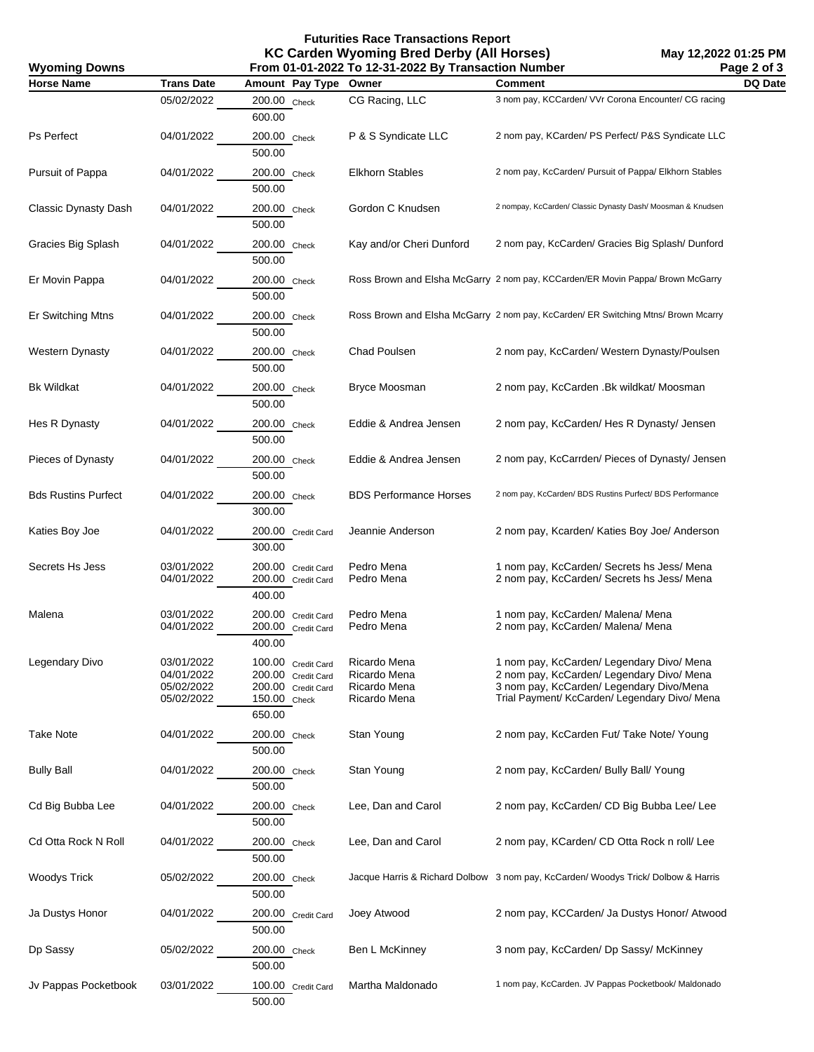## **Futurities Race Transactions Report KC Carden Wyoming Bred Derby (All Horses)**

| <b>Wyoming Downs</b>       | From 01-01-2022 To 12-31-2022 By Transaction Number<br>Page 2 of 3 |                                                                                          |                                                              |                                                                                                                                                                                     |         |
|----------------------------|--------------------------------------------------------------------|------------------------------------------------------------------------------------------|--------------------------------------------------------------|-------------------------------------------------------------------------------------------------------------------------------------------------------------------------------------|---------|
| <b>Horse Name</b>          | <b>Trans Date</b>                                                  | Amount Pay Type Owner                                                                    |                                                              | <b>Comment</b>                                                                                                                                                                      | DQ Date |
|                            | 05/02/2022                                                         | 200.00 Check<br>600.00                                                                   | CG Racing, LLC                                               | 3 nom pay, KCCarden/ VVr Corona Encounter/ CG racing                                                                                                                                |         |
| Ps Perfect                 | 04/01/2022                                                         | 200.00 Check<br>500.00                                                                   | P & S Syndicate LLC                                          | 2 nom pay, KCarden/ PS Perfect/ P&S Syndicate LLC                                                                                                                                   |         |
| Pursuit of Pappa           | 04/01/2022                                                         | 200.00 Check<br>500.00                                                                   | <b>Elkhorn Stables</b>                                       | 2 nom pay, KcCarden/ Pursuit of Pappa/ Elkhorn Stables                                                                                                                              |         |
| Classic Dynasty Dash       | 04/01/2022                                                         | 200.00 Check<br>500.00                                                                   | Gordon C Knudsen                                             | 2 nompay, KcCarden/ Classic Dynasty Dash/ Moosman & Knudsen                                                                                                                         |         |
| Gracies Big Splash         | 04/01/2022                                                         | 200.00 Check<br>500.00                                                                   | Kay and/or Cheri Dunford                                     | 2 nom pay, KcCarden/ Gracies Big Splash/ Dunford                                                                                                                                    |         |
| Er Movin Pappa             | 04/01/2022                                                         | 200.00 Check<br>500.00                                                                   |                                                              | Ross Brown and Elsha McGarry 2 nom pay, KCCarden/ER Movin Pappa/ Brown McGarry                                                                                                      |         |
| Er Switching Mtns          | 04/01/2022                                                         | 200.00 Check<br>500.00                                                                   |                                                              | Ross Brown and Elsha McGarry 2 nom pay, KcCarden/ ER Switching Mtns/ Brown Mcarry                                                                                                   |         |
| Western Dynasty            | 04/01/2022                                                         | 200.00 Check<br>500.00                                                                   | Chad Poulsen                                                 | 2 nom pay, KcCarden/ Western Dynasty/Poulsen                                                                                                                                        |         |
| <b>Bk Wildkat</b>          | 04/01/2022                                                         | 200.00 Check<br>500.00                                                                   | <b>Bryce Moosman</b>                                         | 2 nom pay, KcCarden .Bk wildkat/ Moosman                                                                                                                                            |         |
| Hes R Dynasty              | 04/01/2022                                                         | 200.00 Check<br>500.00                                                                   | Eddie & Andrea Jensen                                        | 2 nom pay, KcCarden/ Hes R Dynasty/ Jensen                                                                                                                                          |         |
| Pieces of Dynasty          | 04/01/2022                                                         | 200.00 Check<br>500.00                                                                   | Eddie & Andrea Jensen                                        | 2 nom pay, KcCarrden/ Pieces of Dynasty/ Jensen                                                                                                                                     |         |
| <b>Bds Rustins Purfect</b> | 04/01/2022                                                         | 200.00 Check<br>300.00                                                                   | <b>BDS Performance Horses</b>                                | 2 nom pay, KcCarden/ BDS Rustins Purfect/ BDS Performance                                                                                                                           |         |
| Katies Boy Joe             | 04/01/2022                                                         | 200.00 Credit Card<br>300.00                                                             | Jeannie Anderson                                             | 2 nom pay, Kcarden/ Katies Boy Joe/ Anderson                                                                                                                                        |         |
| Secrets Hs Jess            | 03/01/2022<br>04/01/2022                                           | 200.00 Credit Card<br>200.00 Credit Card<br>400.00                                       | Pedro Mena<br>Pedro Mena                                     | 1 nom pay, KcCarden/ Secrets hs Jess/ Mena<br>2 nom pay, KcCarden/ Secrets hs Jess/ Mena                                                                                            |         |
| Malena                     | 03/01/2022<br>04/01/2022                                           | 200.00 Credit Card<br>200.00 Credit Card<br>400.00                                       | Pedro Mena<br>Pedro Mena                                     | 1 nom pay, KcCarden/ Malena/ Mena<br>2 nom pay, KcCarden/ Malena/ Mena                                                                                                              |         |
| Legendary Divo             | 03/01/2022<br>04/01/2022<br>05/02/2022<br>05/02/2022               | 100.00 Credit Card<br>200.00 Credit Card<br>200.00 Credit Card<br>150.00 Check<br>650.00 | Ricardo Mena<br>Ricardo Mena<br>Ricardo Mena<br>Ricardo Mena | 1 nom pay, KcCarden/ Legendary Divo/ Mena<br>2 nom pay, KcCarden/ Legendary Divo/ Mena<br>3 nom pay, KcCarden/ Legendary Divo/Mena<br>Trial Payment/ KcCarden/ Legendary Divo/ Mena |         |
| <b>Take Note</b>           | 04/01/2022                                                         | 200.00 Check<br>500.00                                                                   | Stan Young                                                   | 2 nom pay, KcCarden Fut/ Take Note/ Young                                                                                                                                           |         |
| <b>Bully Ball</b>          | 04/01/2022                                                         | 200.00 Check<br>500.00                                                                   | Stan Young                                                   | 2 nom pay, KcCarden/ Bully Ball/ Young                                                                                                                                              |         |
| Cd Big Bubba Lee           | 04/01/2022                                                         | 200.00 Check<br>500.00                                                                   | Lee, Dan and Carol                                           | 2 nom pay, KcCarden/ CD Big Bubba Lee/ Lee                                                                                                                                          |         |
| Cd Otta Rock N Roll        | 04/01/2022                                                         | 200.00 Check<br>500.00                                                                   | Lee, Dan and Carol                                           | 2 nom pay, KCarden/ CD Otta Rock n roll/ Lee                                                                                                                                        |         |
| <b>Woodys Trick</b>        | 05/02/2022                                                         | 200.00 Check<br>500.00                                                                   |                                                              | Jacque Harris & Richard Dolbow 3 nom pay, KcCarden/ Woodys Trick/ Dolbow & Harris                                                                                                   |         |
| Ja Dustys Honor            | 04/01/2022                                                         | 200.00 Credit Card<br>500.00                                                             | Joey Atwood                                                  | 2 nom pay, KCCarden/ Ja Dustys Honor/ Atwood                                                                                                                                        |         |
| Dp Sassy                   | 05/02/2022                                                         | 200.00 Check<br>500.00                                                                   | Ben L McKinney                                               | 3 nom pay, KcCarden/ Dp Sassy/ McKinney                                                                                                                                             |         |
| Jv Pappas Pocketbook       | 03/01/2022                                                         | 100.00 Credit Card<br>500.00                                                             | Martha Maldonado                                             | 1 nom pay, KcCarden. JV Pappas Pocketbook/ Maldonado                                                                                                                                |         |